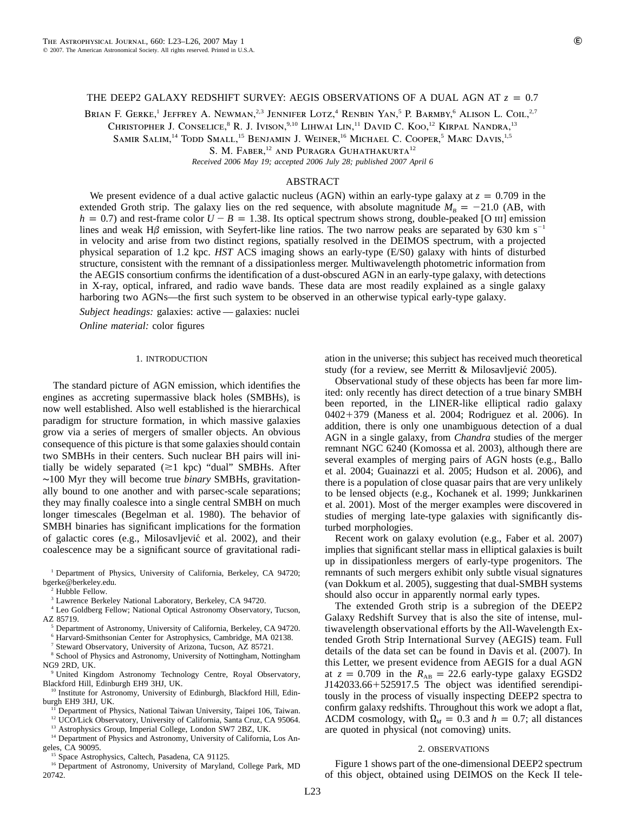## THE DEEP2 GALAXY REDSHIFT SURVEY: AEGIS OBSERVATIONS OF A DUAL AGN AT  $z = 0.7$

BRIAN F. GERKE,<sup>1</sup> JEFFREY A. NEWMAN,<sup>2,3</sup> JENNIFER LOTZ,<sup>4</sup> RENBIN YAN,<sup>5</sup> P. BARMBY,<sup>6</sup> ALISON L. COIL,<sup>2,7</sup>

CHRISTOPHER J. CONSELICE,<sup>8</sup> R. J. IVISON,<sup>9,10</sup> LIHWAI LIN,<sup>11</sup> DAVID C. KOO,<sup>12</sup> KIRPAL NANDRA,<sup>13</sup>

SAMIR SALIM,<sup>14</sup> TODD SMALL,<sup>15</sup> BENJAMIN J. WEINER,<sup>16</sup> MICHAEL C. COOPER,<sup>5</sup> MARC DAVIS,<sup>1,5</sup>

S. M. FABER,<sup>12</sup> AND PURAGRA GUHATHAKURTA<sup>12</sup>

*Received 2006 May 19; accepted 2006 July 28; published 2007 April 6*

# ABSTRACT

We present evidence of a dual active galactic nucleus (AGN) within an early-type galaxy at  $z = 0.709$  in the extended Groth strip. The galaxy lies on the red sequence, with absolute magnitude  $M_B = -21.0$  (AB, with  $h = 0.7$ ) and rest-frame color  $U - B = 1.38$ . Its optical spectrum shows strong, double-peaked [O *III*] emission lines and weak H $\beta$  emission, with Seyfert-like line ratios. The two narrow peaks are separated by 630 km s<sup>-1</sup> in velocity and arise from two distinct regions, spatially resolved in the DEIMOS spectrum, with a projected physical separation of 1.2 kpc. *HST* ACS imaging shows an early-type (E/S0) galaxy with hints of disturbed structure, consistent with the remnant of a dissipationless merger. Multiwavelength photometric information from the AEGIS consortium confirms the identification of a dust-obscured AGN in an early-type galaxy, with detections in X-ray, optical, infrared, and radio wave bands. These data are most readily explained as a single galaxy harboring two AGNs—the first such system to be observed in an otherwise typical early-type galaxy.

*Subject headings:* galaxies: active — galaxies: nuclei

*Online material:* color figures

#### 1. INTRODUCTION

The standard picture of AGN emission, which identifies the engines as accreting supermassive black holes (SMBHs), is now well established. Also well established is the hierarchical paradigm for structure formation, in which massive galaxies grow via a series of mergers of smaller objects. An obvious consequence of this picture is that some galaxies should contain two SMBHs in their centers. Such nuclear BH pairs will initially be widely separated  $(\geq 1 \text{ kpc})$  "dual" SMBHs. After ∼100 Myr they will become true *binary* SMBHs, gravitationally bound to one another and with parsec-scale separations; they may finally coalesce into a single central SMBH on much longer timescales (Begelman et al. 1980). The behavior of SMBH binaries has significant implications for the formation of galactic cores (e.g., Milosavljevic´ et al. 2002), and their coalescence may be a significant source of gravitational radi-

- <sup>5</sup> Department of Astronomy, University of California, Berkeley, CA 94720.
- <sup>6</sup> Harvard-Smithsonian Center for Astrophysics, Cambridge, MA 02138. <sup>7</sup> Steward Observatory, University of Arizona, Tucson, AZ 85721.

<sup>8</sup> School of Physics and Astronomy, University of Nottingham, Nottingham NG9 2RD, UK.

<sup>9</sup> United Kingdom Astronomy Technology Centre, Royal Observatory, Blackford Hill, Edinburgh EH9 3HJ, UK.

<sup>10</sup> Institute for Astronomy, University of Edinburgh, Blackford Hill, Edinburgh EH9 3HJ, UK.

Department of Physics, National Taiwan University, Taipei 106, Taiwan.

<sup>12</sup> UCO/Lick Observatory, University of California, Santa Cruz, CA 95064.

<sup>13</sup> Astrophysics Group, Imperial College, London SW7 2BZ, UK.

<sup>14</sup> Department of Physics and Astronomy, University of California, Los Angeles, CA 90095.

<sup>5</sup> Space Astrophysics, Caltech, Pasadena, CA 91125.

<sup>16</sup> Department of Astronomy, University of Maryland, College Park, MD 20742.

ation in the universe; this subject has received much theoretical study (for a review, see Merritt & Milosavljevic´ 2005).

Observational study of these objects has been far more limited: only recently has direct detection of a true binary SMBH been reported, in the LINER-like elliptical radio galaxy 0402-379 (Maness et al. 2004; Rodriguez et al. 2006). In addition, there is only one unambiguous detection of a dual AGN in a single galaxy, from *Chandra* studies of the merger remnant NGC 6240 (Komossa et al. 2003), although there are several examples of merging pairs of AGN hosts (e.g., Ballo et al. 2004; Guainazzi et al. 2005; Hudson et al. 2006), and there is a population of close quasar pairs that are very unlikely to be lensed objects (e.g., Kochanek et al. 1999; Junkkarinen et al. 2001). Most of the merger examples were discovered in studies of merging late-type galaxies with significantly disturbed morphologies.

Recent work on galaxy evolution (e.g., Faber et al. 2007) implies that significant stellar mass in elliptical galaxies is built up in dissipationless mergers of early-type progenitors. The remnants of such mergers exhibit only subtle visual signatures (van Dokkum et al. 2005), suggesting that dual-SMBH systems should also occur in apparently normal early types.

The extended Groth strip is a subregion of the DEEP2 Galaxy Redshift Survey that is also the site of intense, multiwavelength observational efforts by the All-Wavelength Extended Groth Strip International Survey (AEGIS) team. Full details of the data set can be found in Davis et al. (2007). In this Letter, we present evidence from AEGIS for a dual AGN at  $z = 0.709$  in the  $R_{AB} = 22.6$  early-type galaxy EGSD2 J142033.66-525917.5 The object was identified serendipitously in the process of visually inspecting DEEP2 spectra to confirm galaxy redshifts. Throughout this work we adopt a flat,  $\Lambda$ CDM cosmology, with  $\Omega_M = 0.3$  and  $h = 0.7$ ; all distances are quoted in physical (not comoving) units.

#### 2. OBSERVATIONS

Figure 1 shows part of the one-dimensional DEEP2 spectrum of this object, obtained using DEIMOS on the Keck II tele-

L23

<sup>&</sup>lt;sup>1</sup> Department of Physics, University of California, Berkeley, CA 94720; bgerke@berkeley.edu.

Hubble Fellow.

<sup>3</sup> Lawrence Berkeley National Laboratory, Berkeley, CA 94720.

<sup>4</sup> Leo Goldberg Fellow; National Optical Astronomy Observatory, Tucson, AZ 85719.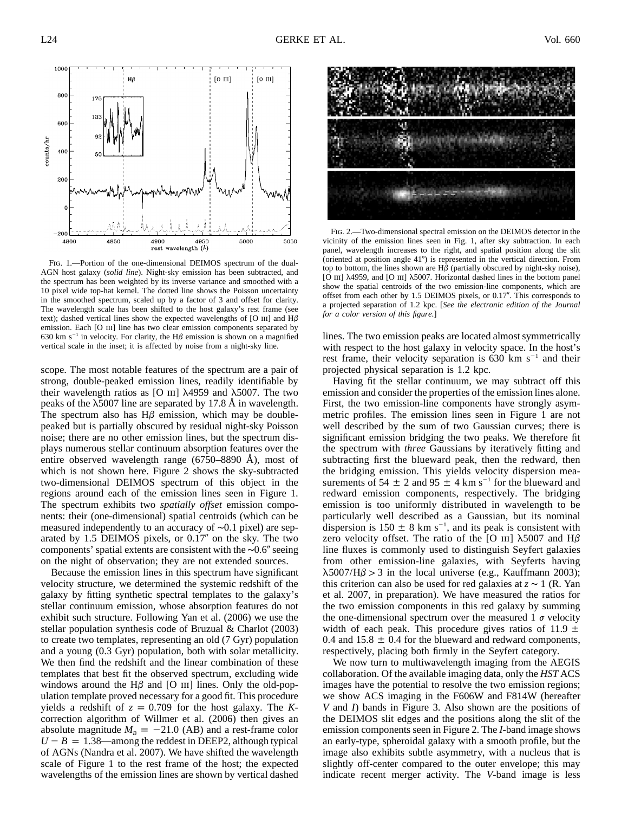1000  $H\beta$ [0 III]  $[0 \text{ III}]$ 800 600 counts/hi 400 200  $\Omega$ -200 4800 4850 4900 4950 5000 5050 rest wavelength (Å)

Fig. 1.—Portion of the one-dimensional DEIMOS spectrum of the dual-AGN host galaxy (*solid line*). Night-sky emission has been subtracted, and the spectrum has been weighted by its inverse variance and smoothed with a 10 pixel wide top-hat kernel. The dotted line shows the Poisson uncertainty in the smoothed spectrum, scaled up by a factor of 3 and offset for clarity. The wavelength scale has been shifted to the host galaxy's rest frame (see text); dashed vertical lines show the expected wavelengths of [O  $\text{III}$ ] and H $\beta$ emission. Each [O III] line has two clear emission components separated by 630 km s<sup>-1</sup> in velocity. For clarity, the H $\beta$  emission is shown on a magnified vertical scale in the inset; it is affected by noise from a night-sky line.

scope. The most notable features of the spectrum are a pair of strong, double-peaked emission lines, readily identifiable by their wavelength ratios as [O  $\text{III}$ ]  $\lambda$ 4959 and  $\lambda$ 5007. The two peaks of the  $\lambda$ 5007 line are separated by 17.8 Å in wavelength. The spectrum also has  $H\beta$  emission, which may be doublepeaked but is partially obscured by residual night-sky Poisson noise; there are no other emission lines, but the spectrum displays numerous stellar continuum absorption features over the entire observed wavelength range  $(6750-8890)$  Å), most of which is not shown here. Figure 2 shows the sky-subtracted two-dimensional DEIMOS spectrum of this object in the regions around each of the emission lines seen in Figure 1. The spectrum exhibits two *spatially offset* emission components: their (one-dimensional) spatial centroids (which can be measured independently to an accuracy of ∼0.1 pixel) are separated by 1.5 DEIMOS pixels, or 0.17" on the sky. The two components' spatial extents are consistent with the ∼0.6" seeing on the night of observation; they are not extended sources.

Because the emission lines in this spectrum have significant velocity structure, we determined the systemic redshift of the galaxy by fitting synthetic spectral templates to the galaxy's stellar continuum emission, whose absorption features do not exhibit such structure. Following Yan et al. (2006) we use the stellar population synthesis code of Bruzual & Charlot (2003) to create two templates, representing an old (7 Gyr) population and a young (0.3 Gyr) population, both with solar metallicity. We then find the redshift and the linear combination of these templates that best fit the observed spectrum, excluding wide windows around the H $\beta$  and [O III] lines. Only the old-population template proved necessary for a good fit. This procedure yields a redshift of  $z = 0.709$  for the host galaxy. The *K*correction algorithm of Willmer et al. (2006) then gives an absolute magnitude  $M_B = -21.0$  (AB) and a rest-frame color  $U - B = 1.38$ —among the reddest in DEEP2, although typical of AGNs (Nandra et al. 2007). We have shifted the wavelength scale of Figure 1 to the rest frame of the host; the expected wavelengths of the emission lines are shown by vertical dashed



Fig. 2.—Two-dimensional spectral emission on the DEIMOS detector in the vicinity of the emission lines seen in Fig. 1, after sky subtraction. In each panel, wavelength increases to the right, and spatial position along the slit (oriented at position angle 41°) is represented in the vertical direction. From top to bottom, the lines shown are  $H\beta$  (partially obscured by night-sky noise), [O  $\text{III}$ ]  $\lambda$ 4959, and [O  $\text{III}$ ]  $\lambda$ 5007. Horizontal dashed lines in the bottom panel show the spatial centroids of the two emission-line components, which are offset from each other by 1.5 DEIMOS pixels, or 0.17". This corresponds to a projected separation of 1.2 kpc. [*See the electronic edition of the Journal for a color version of this figure*.]

lines. The two emission peaks are located almost symmetrically with respect to the host galaxy in velocity space. In the host's rest frame, their velocity separation is  $630 \text{ km s}^{-1}$  and their projected physical separation is 1.2 kpc.

Having fit the stellar continuum, we may subtract off this emission and consider the properties of the emission lines alone. First, the two emission-line components have strongly asymmetric profiles. The emission lines seen in Figure 1 are not well described by the sum of two Gaussian curves; there is significant emission bridging the two peaks. We therefore fit the spectrum with *three* Gaussians by iteratively fitting and subtracting first the blueward peak, then the redward, then the bridging emission. This yields velocity dispersion measurements of  $54 \pm 2$  and  $95 \pm 4$  km s<sup>-1</sup> for the blueward and redward emission components, respectively. The bridging emission is too uniformly distributed in wavelength to be particularly well described as a Gaussian, but its nominal dispersion is  $150 \pm 8$  km s<sup>-1</sup>, and its peak is consistent with zero velocity offset. The ratio of the [O III]  $\lambda$ 5007 and H $\beta$ line fluxes is commonly used to distinguish Seyfert galaxies from other emission-line galaxies, with Seyferts having  $\lambda$ 5007/H $\beta$  > 3 in the local universe (e.g., Kauffmann 2003); this criterion can also be used for red galaxies at  $z \sim 1$  (R. Yan et al. 2007, in preparation). We have measured the ratios for the two emission components in this red galaxy by summing the one-dimensional spectrum over the measured 1  $\sigma$  velocity width of each peak. This procedure gives ratios of 11.9  $\pm$ 0.4 and  $15.8 \pm 0.4$  for the blueward and redward components, respectively, placing both firmly in the Seyfert category.

We now turn to multiwavelength imaging from the AEGIS collaboration. Of the available imaging data, only the *HST* ACS images have the potential to resolve the two emission regions; we show ACS imaging in the F606W and F814W (hereafter *V* and *I*) bands in Figure 3. Also shown are the positions of the DEIMOS slit edges and the positions along the slit of the emission components seen in Figure 2. The *I*-band image shows an early-type, spheroidal galaxy with a smooth profile, but the image also exhibits subtle asymmetry, with a nucleus that is slightly off-center compared to the outer envelope; this may indicate recent merger activity. The *V*-band image is less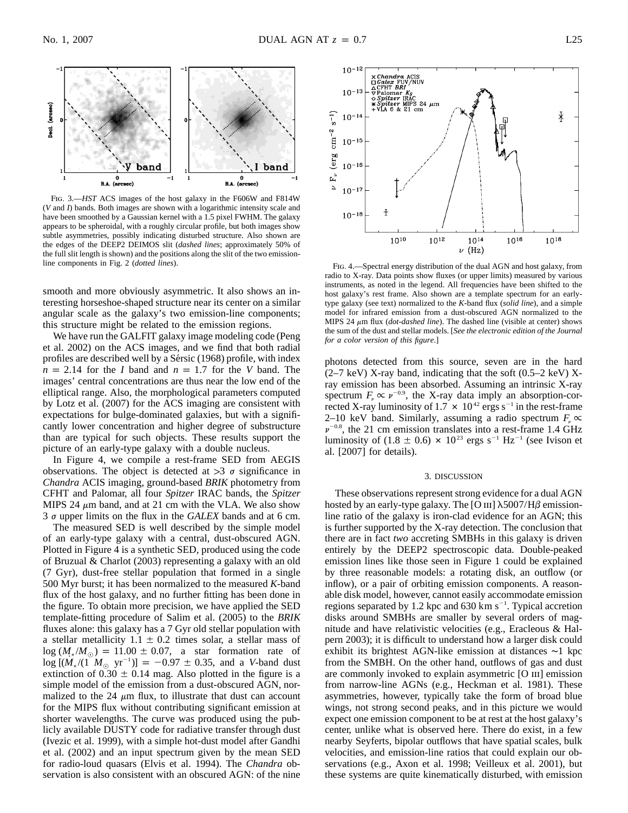

Fig. 3.—*HST* ACS images of the host galaxy in the F606W and F814W (*V* and *I*) bands. Both images are shown with a logarithmic intensity scale and have been smoothed by a Gaussian kernel with a 1.5 pixel FWHM. The galaxy appears to be spheroidal, with a roughly circular profile, but both images show subtle asymmetries, possibly indicating disturbed structure. Also shown are the edges of the DEEP2 DEIMOS slit (*dashed lines*; approximately 50% of the full slit length is shown) and the positions along the slit of the two emissionline components in Fig. 2 (*dotted lines*). Fig. 4.—Spectral energy distribution of the dual AGN and host galaxy, from

smooth and more obviously asymmetric. It also shows an interesting horseshoe-shaped structure near its center on a similar angular scale as the galaxy's two emission-line components; this structure might be related to the emission regions.

We have run the GALFIT galaxy image modeling code (Peng et al. 2002) on the ACS images, and we find that both radial profiles are described well by a Sérsic (1968) profile, with index  $n = 2.14$  for the *I* band and  $n = 1.7$  for the *V* band. The images' central concentrations are thus near the low end of the elliptical range. Also, the morphological parameters computed by Lotz et al. (2007) for the ACS imaging are consistent with expectations for bulge-dominated galaxies, but with a significantly lower concentration and higher degree of substructure than are typical for such objects. These results support the picture of an early-type galaxy with a double nucleus.

In Figure 4, we compile a rest-frame SED from AEGIS observations. The object is detected at  $>3$   $\sigma$  significance in *Chandra* ACIS imaging, ground-based *BRIK* photometry from CFHT and Palomar, all four *Spitzer* IRAC bands, the *Spitzer* MIPS 24  $\mu$ m band, and at 21 cm with the VLA. We also show 3  $\sigma$  upper limits on the flux in the *GALEX* bands and at 6 cm.

The measured SED is well described by the simple model of an early-type galaxy with a central, dust-obscured AGN. Plotted in Figure 4 is a synthetic SED, produced using the code of Bruzual & Charlot (2003) representing a galaxy with an old (7 Gyr), dust-free stellar population that formed in a single 500 Myr burst; it has been normalized to the measured *K*-band flux of the host galaxy, and no further fitting has been done in the figure. To obtain more precision, we have applied the SED template-fitting procedure of Salim et al. (2005) to the *BRIK* fluxes alone: this galaxy has a 7 Gyr old stellar population with a stellar metallicity  $1.1 \pm 0.2$  times solar, a stellar mass of  $\log (M_{*}/M_{\odot}) = 11.00 \pm 0.07$ , a star formation rate of  $log [(M_*/(1 \ M_{\odot} \ yr^{-1})] = -0.97 \pm 0.35$ , and a *V*-band dust extinction of  $0.30 \pm 0.14$  mag. Also plotted in the figure is a simple model of the emission from a dust-obscured AGN, normalized to the 24  $\mu$ m flux, to illustrate that dust can account for the MIPS flux without contributing significant emission at shorter wavelengths. The curve was produced using the publicly available DUSTY code for radiative transfer through dust (Ivezic et al. 1999), with a simple hot-dust model after Gandhi et al. (2002) and an input spectrum given by the mean SED for radio-loud quasars (Elvis et al. 1994). The *Chandra* observation is also consistent with an obscured AGN: of the nine



radio to X-ray. Data points show fluxes (or upper limits) measured by various instruments, as noted in the legend. All frequencies have been shifted to the host galaxy's rest frame. Also shown are a template spectrum for an earlytype galaxy (see text) normalized to the *K*-band flux (*solid line*), and a simple model for infrared emission from a dust-obscured AGN normalized to the MIPS 24  $\mu$ m flux (*dot-dashed line*). The dashed line (visible at center) shows the sum of the dust and stellar models. [*See the electronic edition of the Journal for a color version of this figure*.]

photons detected from this source, seven are in the hard  $(2-7 \text{ keV})$  X-ray band, indicating that the soft  $(0.5-2 \text{ keV})$  Xray emission has been absorbed. Assuming an intrinsic X-ray spectrum  $F_\nu \propto \nu^{-0.9}$ , the X-ray data imply an absorption-corrected X-ray luminosity of 1.7  $\times$  10<sup>42</sup> ergs s<sup>-1</sup> in the rest-frame 2–10 keV band. Similarly, assuming a radio spectrum  $F_p \propto$  $v^{-0.8}$ , the 21 cm emission translates into a rest-frame 1.4 GHz luminosity of  $(1.8 \pm 0.6) \times 10^{23}$  ergs s<sup>-1</sup> Hz<sup>-1</sup> (see Ivison et al. [2007] for details).

### 3. DISCUSSION

These observations represent strong evidence for a dual AGN hosted by an early-type galaxy. The [O  $\text{III}$ ]  $\lambda$ 5007/H $\beta$  emissionline ratio of the galaxy is iron-clad evidence for an AGN; this is further supported by the X-ray detection. The conclusion that there are in fact *two* accreting SMBHs in this galaxy is driven entirely by the DEEP2 spectroscopic data. Double-peaked emission lines like those seen in Figure 1 could be explained by three reasonable models: a rotating disk, an outflow (or inflow), or a pair of orbiting emission components. A reasonable disk model, however, cannot easily accommodate emission regions separated by 1.2 kpc and  $630 \text{ km s}^{-1}$ . Typical accretion disks around SMBHs are smaller by several orders of magnitude and have relativistic velocities (e.g., Eracleous & Halpern 2003); it is difficult to understand how a larger disk could exhibit its brightest AGN-like emission at distances ∼1 kpc from the SMBH. On the other hand, outflows of gas and dust are commonly invoked to explain asymmetric [O iii] emission from narrow-line AGNs (e.g., Heckman et al. 1981). These asymmetries, however, typically take the form of broad blue wings, not strong second peaks, and in this picture we would expect one emission component to be at rest at the host galaxy's center, unlike what is observed here. There do exist, in a few nearby Seyferts, bipolar outflows that have spatial scales, bulk velocities, and emission-line ratios that could explain our observations (e.g., Axon et al. 1998; Veilleux et al. 2001), but these systems are quite kinematically disturbed, with emission